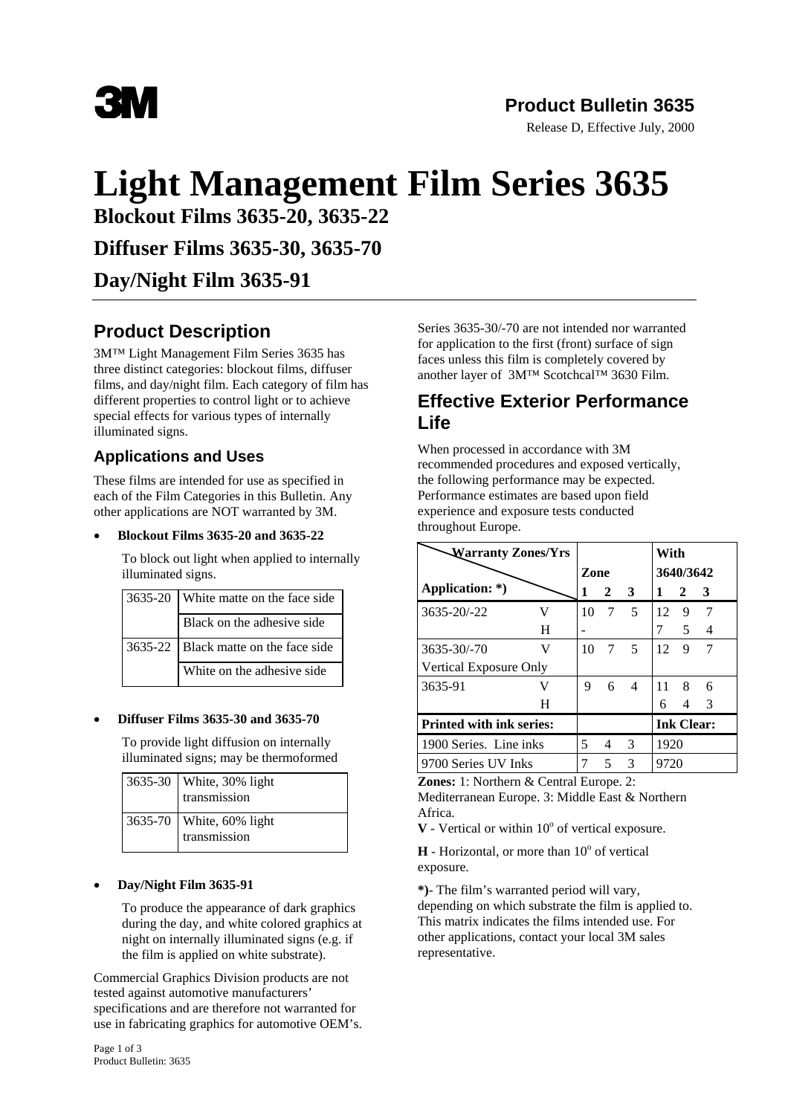

### **Product Bulletin 3635**

Release D, Effective July, 2000

# **Light Management Film Series 3635**

**Blockout Films 3635-20, 3635-22** 

**Diffuser Films 3635-30, 3635-70** 

# **Day/Night Film 3635-91**

### **Product Description**

3M™ Light Management Film Series 3635 has three distinct categories: blockout films, diffuser films, and day/night film. Each category of film has different properties to control light or to achieve special effects for various types of internally illuminated signs.

### **Applications and Uses**

These films are intended for use as specified in each of the Film Categories in this Bulletin. Any other applications are NOT warranted by 3M.

#### • **Blockout Films 3635-20 and 3635-22**

To block out light when applied to internally illuminated signs.

| 3635-20   White matte on the face side |
|----------------------------------------|
| Black on the adhesive side             |
| 3635-22   Black matte on the face side |
| White on the adhesive side             |

#### • **Diffuser Films 3635-30 and 3635-70**

To provide light diffusion on internally illuminated signs; may be thermoformed

| 3635-30   White, 30% light<br>transmission |
|--------------------------------------------|
| 3635-70   White, 60% light<br>transmission |

### • **Day/Night Film 3635-91**

To produce the appearance of dark graphics during the day, and white colored graphics at night on internally illuminated signs (e.g. if the film is applied on white substrate).

Commercial Graphics Division products are not tested against automotive manufacturers' specifications and are therefore not warranted for use in fabricating graphics for automotive OEM's.

Page 1 of 3 Product Bulletin: 3635 Series 3635-30/-70 are not intended nor warranted for application to the first (front) surface of sign faces unless this film is completely covered by another layer of 3M™ Scotchcal™ 3630 Film.

### **Effective Exterior Performance Life**

When processed in accordance with 3M recommended procedures and exposed vertically, the following performance may be expected. Performance estimates are based upon field experience and exposure tests conducted throughout Europe.

| Warranty Zones/Yrs              |   |      |             |               | With |                   |    |  |
|---------------------------------|---|------|-------------|---------------|------|-------------------|----|--|
|                                 |   | Zone |             | 3640/3642     |      |                   |    |  |
| Application: *)                 |   | 1    | $2 \quad 3$ |               | 1    | $\mathbf{2}$      | -3 |  |
| $3635 - 20/ -22$                | V | 10   | 7           | 5             | 12   | 9                 | 7  |  |
|                                 | H |      |             |               | 7    | 5                 | 4  |  |
| $3635 - 30/-70$                 | V | 10   | 7           | 5             | 12   | 9                 | 7  |  |
| Vertical Exposure Only          |   |      |             |               |      |                   |    |  |
| 3635-91                         | v | 9    | 6           | 4             | 11   | 8                 | 6  |  |
|                                 | H |      |             |               | 6    | 4                 | 3  |  |
| <b>Printed with ink series:</b> |   |      |             |               |      | <b>Ink Clear:</b> |    |  |
| 1900 Series. Line inks          |   | 5.   | 4           | $\mathcal{E}$ | 1920 |                   |    |  |
| 9700 Series UV Inks             |   |      | 5           | 3             | 9720 |                   |    |  |

**Zones:** 1: Northern & Central Europe. 2:

Mediterranean Europe. 3: Middle East & Northern Africa.

 $V$  - Vertical or within  $10^{\circ}$  of vertical exposure.

 $H$  - Horizontal, or more than  $10^{\circ}$  of vertical exposure.

**\*)**- The film's warranted period will vary, depending on which substrate the film is applied to. This matrix indicates the films intended use. For other applications, contact your local 3M sales representative.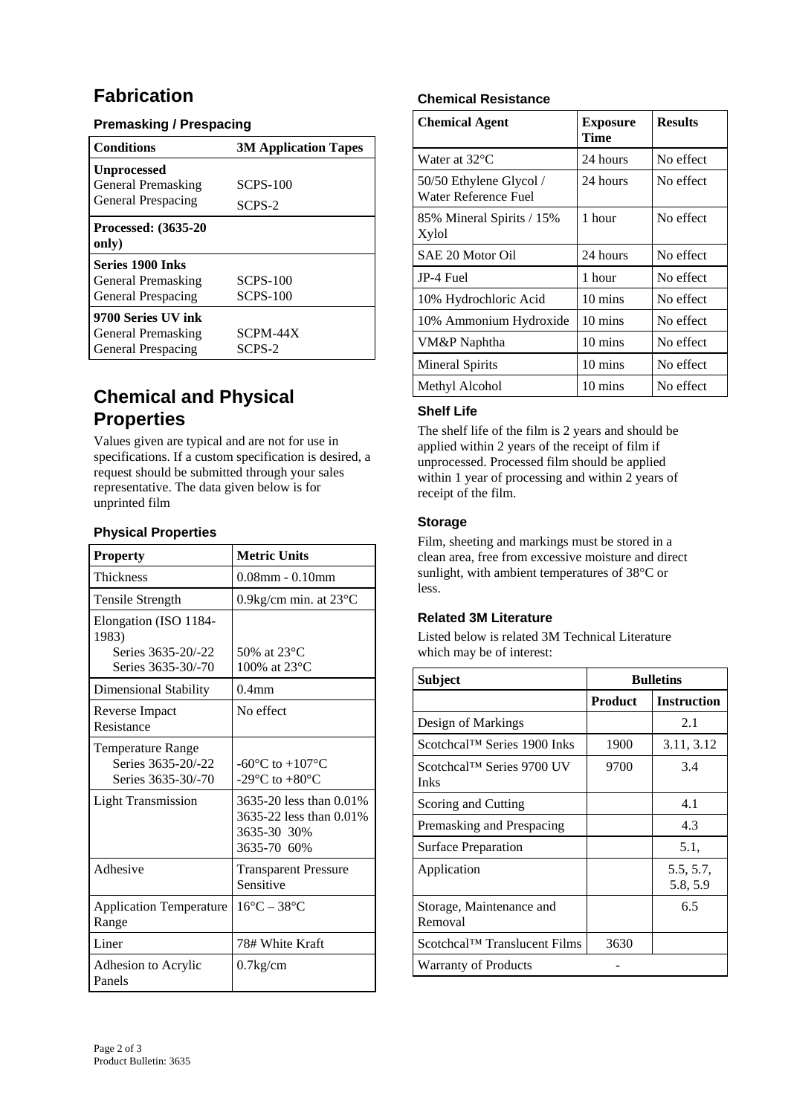# **Fabrication**

### **Premasking / Prespacing**

| <b>Conditions</b>                    | <b>3M Application Tapes</b> |  |  |
|--------------------------------------|-----------------------------|--|--|
| <b>Unprocessed</b>                   |                             |  |  |
| General Premasking                   | <b>SCPS-100</b>             |  |  |
| General Prespacing                   | SCPS-2                      |  |  |
| <b>Processed: (3635-20)</b><br>only) |                             |  |  |
| <b>Series 1900 Inks</b>              |                             |  |  |
| General Premasking                   | <b>SCPS-100</b>             |  |  |
| General Prespacing                   | <b>SCPS-100</b>             |  |  |
| 9700 Series UV ink                   |                             |  |  |
| General Premasking                   | SCPM-44X                    |  |  |
| General Prespacing                   | SCPS-2                      |  |  |

## **Chemical and Physical Properties**

Values given are typical and are not for use in specifications. If a custom specification is desired, a request should be submitted through your sales representative. The data given below is for unprinted film

| <b>Property</b>                                                            | <b>Metric Units</b>                                                                                   |  |  |
|----------------------------------------------------------------------------|-------------------------------------------------------------------------------------------------------|--|--|
| <b>Thickness</b>                                                           | $0.08$ mm - $0.10$ mm                                                                                 |  |  |
| Tensile Strength                                                           | $0.9$ kg/cm min. at $23^{\circ}$ C                                                                    |  |  |
| Elongation (ISO 1184-<br>1983)<br>Series 3635-20/-22<br>Series 3635-30/-70 | 50% at $23^{\circ}$ C<br>100% at 23°C                                                                 |  |  |
| Dimensional Stability                                                      | $0.4$ mm                                                                                              |  |  |
| Reverse Impact<br>Resistance                                               | No effect                                                                                             |  |  |
| <b>Temperature Range</b><br>Series 3635-20/-22<br>Series 3635-30/-70       | -60 $\mathrm{^{\circ}C}$ to +107 $\mathrm{^{\circ}C}$<br>-29 $\rm{^{\circ}C}$ to +80 $\rm{^{\circ}C}$ |  |  |
| <b>Light Transmission</b>                                                  | 3635-20 less than 0.01%<br>3635-22 less than 0.01%<br>3635-30 30%<br>3635-70 60%                      |  |  |
| Adhesive                                                                   | <b>Transparent Pressure</b><br>Sensitive                                                              |  |  |
| <b>Application Temperature</b><br>Range                                    | $16^{\circ}$ C - 38 $^{\circ}$ C                                                                      |  |  |
| Liner                                                                      | 78# White Kraft                                                                                       |  |  |
| Adhesion to Acrylic<br>Panels                                              | $0.7$ kg/cm                                                                                           |  |  |

### **Physical Properties**

### **Chemical Resistance**

| <b>Chemical Agent</b>                           | <b>Exposure</b><br>Time | <b>Results</b> |  |
|-------------------------------------------------|-------------------------|----------------|--|
| Water at $32^{\circ}$ C                         | 24 hours                | No effect      |  |
| 50/50 Ethylene Glycol /<br>Water Reference Fuel | 24 hours                | No effect      |  |
| 85% Mineral Spirits / 15%<br>Xylol              | 1 hour                  | No effect      |  |
| SAE 20 Motor Oil                                | 24 hours                | No effect      |  |
| JP-4 Fuel                                       | 1 hour                  | No effect      |  |
| 10% Hydrochloric Acid                           | 10 mins                 | No effect      |  |
| 10% Ammonium Hydroxide                          | 10 mins                 | No effect      |  |
| VM&P Naphtha                                    | 10 mins                 | No effect      |  |
| <b>Mineral Spirits</b>                          | 10 mins                 | No effect      |  |
| Methyl Alcohol                                  | 10 mins                 | No effect      |  |

### **Shelf Life**

The shelf life of the film is 2 years and should be applied within 2 years of the receipt of film if unprocessed. Processed film should be applied within 1 year of processing and within 2 years of receipt of the film.

### **Storage**

Film, sheeting and markings must be stored in a clean area, free from excessive moisture and direct sunlight, with ambient temperatures of 38°C or less.

### **Related 3M Literature**

Listed below is related 3M Technical Literature which may be of interest:

| <b>Subject</b>                           | <b>Bulletins</b> |                       |  |
|------------------------------------------|------------------|-----------------------|--|
|                                          | <b>Product</b>   | <b>Instruction</b>    |  |
| Design of Markings                       |                  | 2.1                   |  |
| Scotchcal™ Series 1900 Inks              | 1900             | 3.11, 3.12            |  |
| Scotchcal™ Series 9700 UV<br><b>Inks</b> | 9700             | 3.4                   |  |
| Scoring and Cutting                      |                  | 4.1                   |  |
| Premasking and Prespacing                |                  | 4.3                   |  |
| <b>Surface Preparation</b>               |                  | 5.1,                  |  |
| Application                              |                  | 5.5, 5.7,<br>5.8, 5.9 |  |
| Storage, Maintenance and<br>Removal      |                  | 6.5                   |  |
| Scotchcal™ Translucent Films             | 3630             |                       |  |
| <b>Warranty of Products</b>              |                  |                       |  |